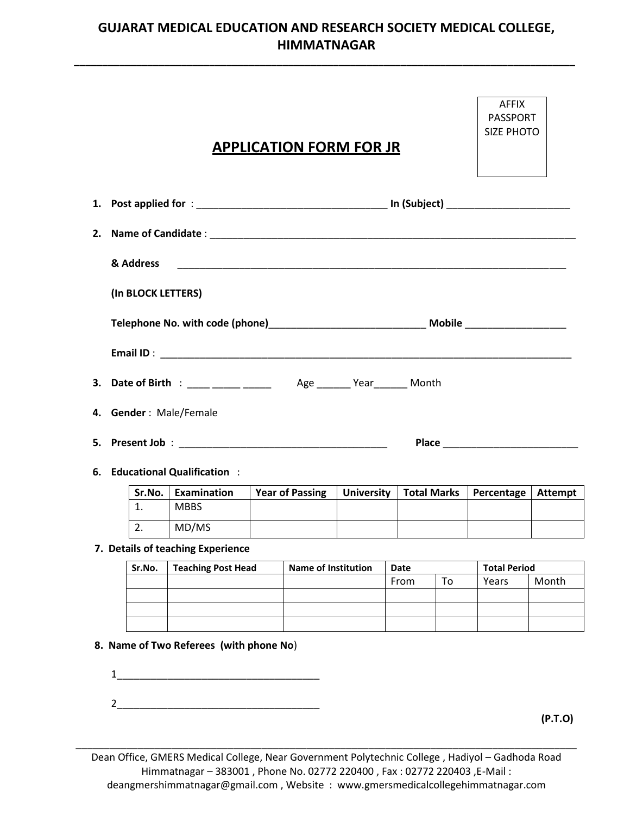## **GUJARAT MEDICAL EDUCATION AND RESEARCH SOCIETY MEDICAL COLLEGE, HIMMATNAGAR**

**\_\_\_\_\_\_\_\_\_\_\_\_\_\_\_\_\_\_\_\_\_\_\_\_\_\_\_\_\_\_\_\_\_\_\_\_\_\_\_\_\_\_\_\_\_\_\_\_\_\_\_\_\_\_\_\_\_\_\_\_\_\_\_\_\_\_\_\_\_\_\_\_\_\_\_\_\_\_\_\_\_\_\_\_\_\_\_\_\_**

|   |                    |                                                          |  | <b>APPLICATION FORM FOR JR</b> |                   |                    |  |                              | <b>AFFIX</b><br><b>PASSPORT</b><br><b>SIZE PHOTO</b> |         |
|---|--------------------|----------------------------------------------------------|--|--------------------------------|-------------------|--------------------|--|------------------------------|------------------------------------------------------|---------|
|   |                    |                                                          |  |                                |                   |                    |  |                              |                                                      |         |
|   |                    |                                                          |  |                                |                   |                    |  |                              |                                                      |         |
|   | & Address          |                                                          |  |                                |                   |                    |  |                              |                                                      |         |
|   | (In BLOCK LETTERS) |                                                          |  |                                |                   |                    |  |                              |                                                      |         |
|   |                    |                                                          |  |                                |                   |                    |  |                              |                                                      |         |
|   |                    | 4. Gender: Male/Female<br>6. Educational Qualification : |  |                                |                   |                    |  |                              |                                                      |         |
|   | Sr.No.             | Examination                                              |  | <b>Year of Passing</b>         | <b>University</b> | <b>Total Marks</b> |  | Percentage                   | <b>Attempt</b>                                       |         |
|   | 1.                 | <b>MBBS</b>                                              |  |                                |                   |                    |  |                              |                                                      |         |
|   |                    | $\overline{2.}$ MD/MS                                    |  |                                |                   |                    |  |                              |                                                      |         |
|   |                    | 7. Details of teaching Experience                        |  |                                |                   |                    |  |                              |                                                      |         |
|   | Sr.No.             | <b>Teaching Post Head</b>                                |  | <b>Name of Institution</b>     |                   | Date<br>To<br>From |  | <b>Total Period</b><br>Years | Month                                                |         |
|   |                    |                                                          |  |                                |                   |                    |  |                              |                                                      |         |
|   |                    |                                                          |  |                                |                   |                    |  |                              |                                                      |         |
| 1 |                    | 8. Name of Two Referees (with phone No)                  |  |                                |                   |                    |  |                              |                                                      |         |
| 2 |                    |                                                          |  |                                |                   |                    |  |                              |                                                      | (P.T.O) |

Dean Office, GMERS Medical College, Near Government Polytechnic College , Hadiyol – Gadhoda Road Himmatnagar – 383001 , Phone No. 02772 220400 , Fax : 02772 220403 ,E-Mail : deangmershimmatnagar@gmail.com , Website : www.gmersmedicalcollegehimmatnagar.com

\_\_\_\_\_\_\_\_\_\_\_\_\_\_\_\_\_\_\_\_\_\_\_\_\_\_\_\_\_\_\_\_\_\_\_\_\_\_\_\_\_\_\_\_\_\_\_\_\_\_\_\_\_\_\_\_\_\_\_\_\_\_\_\_\_\_\_\_\_\_\_\_\_\_\_\_\_\_\_\_\_\_\_\_\_\_\_\_\_